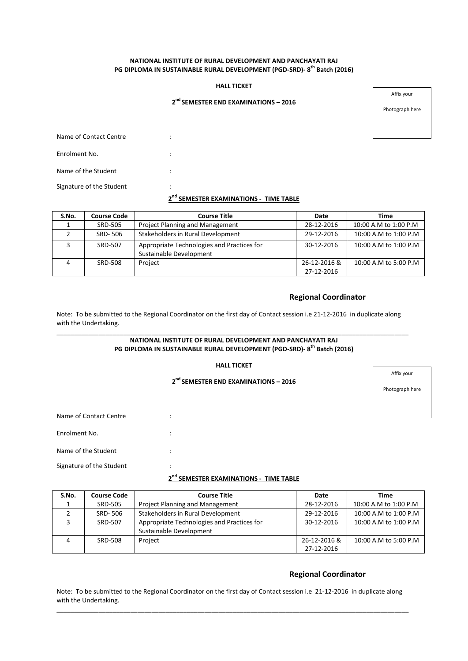## **NATIONAL INSTITUTE OF RURAL DEVELOPMENT AND PANCHAYATI RAJ PG DIPLOMA IN SUSTAINABLE RURAL DEVELOPMENT (PGD-SRD)- 8 th Batch (2016)**

## **HALL TICKET**

## **2 nd SEMESTER END EXAMINATIONS – 2016**

Affix your

Photograph here

Name of Contact Centre **in the Contact Centre**  $\cdot$ Enrolment No.  $\qquad \qquad :$ Name of the Student : The Student in the Student  $\cdot$  :

Signature of the Student :

## **2 nd SEMESTER EXAMINATIONS - TIME TABLE**

| S.No. | <b>Course Code</b> | <b>Course Title</b>                                                   | Date                       | <b>Time</b>           |
|-------|--------------------|-----------------------------------------------------------------------|----------------------------|-----------------------|
|       | <b>SRD-505</b>     | Project Planning and Management                                       | 28-12-2016                 | 10:00 A.M to 1:00 P.M |
|       | SRD-506            | Stakeholders in Rural Development                                     | 29-12-2016                 | 10:00 A.M to 1:00 P.M |
|       | SRD-507            | Appropriate Technologies and Practices for<br>Sustainable Development | 30-12-2016                 | 10:00 A.M to 1:00 P.M |
|       | SRD-508            | Project                                                               | 26-12-2016 &<br>27-12-2016 | 10:00 A.M to 5:00 P.M |

### **Regional Coordinator**

Note: To be submitted to the Regional Coordinator on the first day of Contact session i.e 21-12-2016 in duplicate along with the Undertaking.

#### \_\_\_\_\_\_\_\_\_\_\_\_\_\_\_\_\_\_\_\_\_\_\_\_\_\_\_\_\_\_\_\_\_\_\_\_\_\_\_\_\_\_\_\_\_\_\_\_\_\_\_\_\_\_\_\_\_\_\_\_\_\_\_\_\_\_\_\_\_\_\_\_\_\_\_\_\_\_\_\_\_\_\_\_\_\_\_\_\_\_\_\_\_\_\_\_\_\_\_\_ **NATIONAL INSTITUTE OF RURAL DEVELOPMENT AND PANCHAYATI RAJ PG DIPLOMA IN SUSTAINABLE RURAL DEVELOPMENT (PGD-SRD)- 8 th Batch (2016)**

#### **HALL TICKET**

## **2 nd SEMESTER END EXAMINATIONS – 2016**

Affix your

Photograph here

| Name of Contact Centre   |  |
|--------------------------|--|
| Enrolment No.            |  |
| Name of the Student      |  |
| Signature of the Student |  |

## **2 nd SEMESTER EXAMINATIONS - TIME TABLE**

| S.No. | <b>Course Code</b> | <b>Course Title</b>                                                   | Date                       | <b>Time</b>           |
|-------|--------------------|-----------------------------------------------------------------------|----------------------------|-----------------------|
|       | <b>SRD-505</b>     | Project Planning and Management                                       | 28-12-2016                 | 10:00 A.M to 1:00 P.M |
|       | SRD-506            | Stakeholders in Rural Development                                     | 29-12-2016                 | 10:00 A.M to 1:00 P.M |
|       | SRD-507            | Appropriate Technologies and Practices for<br>Sustainable Development | 30-12-2016                 | 10:00 A.M to 1:00 P.M |
| Λ     | SRD-508            | Project                                                               | 26-12-2016 &<br>27-12-2016 | 10:00 A.M to 5:00 P.M |

### **Regional Coordinator**

Note: To be submitted to the Regional Coordinator on the first day of Contact session i.e 21-12-2016 in duplicate along with the Undertaking. \_\_\_\_\_\_\_\_\_\_\_\_\_\_\_\_\_\_\_\_\_\_\_\_\_\_\_\_\_\_\_\_\_\_\_\_\_\_\_\_\_\_\_\_\_\_\_\_\_\_\_\_\_\_\_\_\_\_\_\_\_\_\_\_\_\_\_\_\_\_\_\_\_\_\_\_\_\_\_\_\_\_\_\_\_\_\_\_\_\_\_\_\_\_\_\_\_\_\_\_